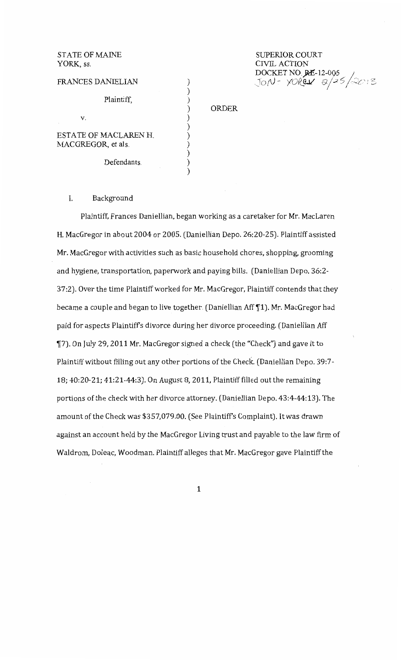| <b>STATE OF MAINE</b><br>YORK, ss. |  |
|------------------------------------|--|
| <b>FRANCES DANIELIAN</b>           |  |
| Plaintiff.                         |  |
| V.                                 |  |
| <b>ESTATE OF MACLAREN H.</b>       |  |
| MACGREGOR, et als.                 |  |
| Defendants.                        |  |

SUPERIOR COURT CIVIL ACTION CIVIL ACTION<br>DOCKET NO. **RE-**12-005 *JoN-YOREN 2/25/2013* 

ORDER

## I. Background

Plaintiff, Frances Daniellian, began working as a caretaker for Mr. MacLaren H. MacGregor in about 2004 or 2005. (Daniellian Depo. 26:20-25). Plaintiff assisted Mr. MacGregor with activities such as basic household chores, shopping, grooming and hygiene, transportation, paperwork and paying bills. (Daniellian Depo. 36:2- 37:2). Over the time Plaintiff worked for Mr. MacGregor, Plaintiff contends that they became a couple and began to live together. (Daniellian Aff [1]. Mr. MacGregor had paid for aspects Plaintiff's divorce during her divorce proceeding. (Daniellian Mf ~7). On July 29, 2011 Mr. MacGregor signed a check (the "Check") and gave it to Plaintiff without filling out any other portions of the Check. (Daniellian Depo. 39:7- 18; 40:20-21; 41:21-44:3). On August 8, 2011, Plaintiff filled out the remaining portions of the check with her divorce attorney. (Daniellian Depo. 43:4-44:13). The amount of the Check was \$357,079.00. (See Plaintiff's Complaint). It was drawn against an account held by the MacGregor Living trust and payable to the law firm of Waldrom, Doleac, Woodman. Plaintiff alleges that Mr. MacGregor gave Plaintiff the

 $\lambda$ 

1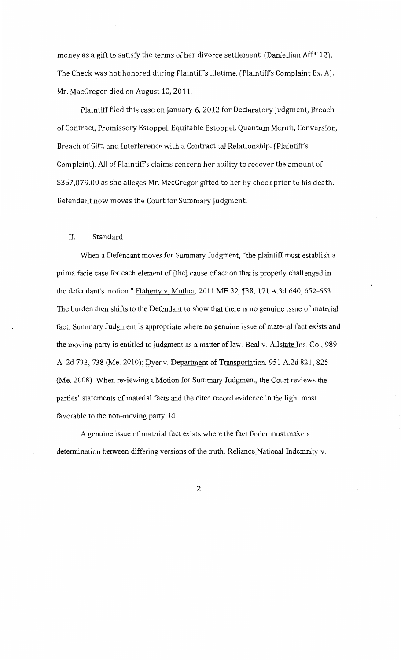money as a gift to satisfy the terms of her divorce settlement. (Daniellian Aff  $\P$ 12). The Check was not honored during Plaintiff's lifetime. (Plaintiff's Complaint Ex. A). Mr. MacGregor died on August 10, 2011.

Plaintiff filed this case on January 6, 2012 for Declaratory Judgment, Breach of Contract, Promissory Estoppel, Equitable Estoppel, Quantum Meruit, Conversion, Breach of Gift, and Interference with a Contractual Relationship. (Plaintiff's Complaint). All of Plaintiffs claims concern her ability to recover the amount of \$357,079.00 as she alleges Mr. MacGregor gifted to her by check prior to his death. Defendant now moves the Court for Summary Judgment

## II. Standard

When a Defendant moves for Summary Judgment, "the plaintiff must establish a prima facie case for each element of [the] cause of action that is properly challenged in the defendant's motion." Flaherty v. Muther, 2011 ME 32,  $\sqrt{38}$ , 171 A.3d 640, 652-653. The burden then shifts to the Defendant to show that there is no genuine issue of material fact. Summary Judgment is appropriate where no genuine issue of material fact exists and the moving party is entitled to judgment as a matter of law. Beal v. Allstate Ins. Co., 989 A. 2d 733, 738 (Me. 2010); Dyer v. Department of Transportation, 951 A.2d 821, 825 (Me. 2008). When reviewing a Motion for Summary Judgment, the Court reviews the parties' statements of material facts and the cited record evidence in the light most favorable to the non-moving party. Id.

A genuine issue of material fact exists where the fact finder must make a determination between differing versions of the truth. Reliance National Indemnity v.

2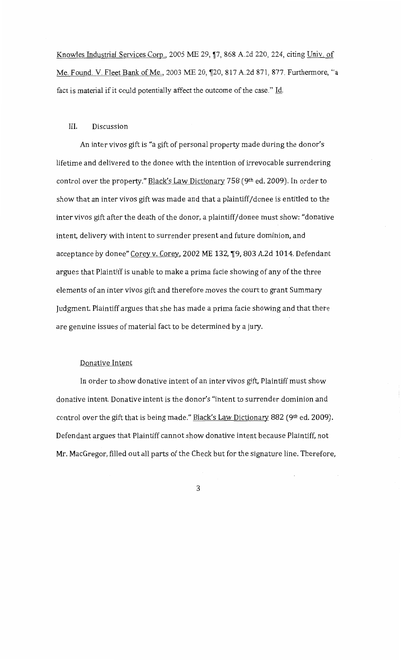Knowles Industrial Services Corp., 2005 ME 29, 17, 868 A.2d 220, 224, citing Univ. of Me. Found. V. Fleet Bank of Me., 2003 ME 20, ¶20, 817 A.2d 871, 877. Furthermore, "a fact is material if it could potentially affect the outcome of the case." Id.

#### III. Discussion

An inter vivos gift is "a gift of personal property made during the donor's lifetime and delivered to the donee with the intention of irrevocable surrendering control over the property." Black's Law Dictionary 758 (9th ed. 2009). In order to show that an inter vivos gift was made and that a plaintiff/donee is entitled to the inter vivos gift after the death of the donor, a plaintiff/ donee must show: "donative intent, delivery with intent to surrender present and future dominion, and acceptance by donee" Corey v. Corey, 2002 ME 132, 19, 803 A.2d 1014. Defendant argues that Plaintiff is unable to make a prima facie showing of any of the three elements of an inter vivos gift and therefore moves the court to grant Summary Judgment. Plaintiff argues that she has made a prima facie showing and that there are genuine issues of material fact to be determined by a jury.

### Donative Intent

In order to show donative intent of an inter vivos gift, Plaintiff must show donative intent. Donative intent is the donor's "intent to surrender dominion and control over the gift that is being made." Black's Law Dictionary 882 (9th ed. 2009). Defendant argues that Plaintiff cannot show donative intent because Plaintiff, not Mr. MacGregor, filled out all parts of the Check but for the signature line. Therefore,

3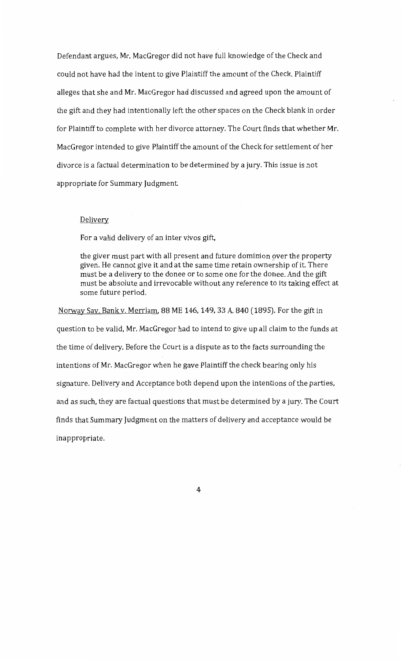Defendant argues, Mr. MacGregor did not have full knowledge of the Check and could not have had the intent to give Plaintiff the amount of the Check. Plaintiff alleges that she and Mr. MacGregor had discussed and agreed upon the amount of the gift and they had intentionally left the other spaces on the Check blank in order for Plaintiff to complete with her divorce attorney. The Court finds that whether Mr. MacGregor intended to give Plaintiff the amount of the Check for settlement of her divorce is a factual determination to be determined by a jury. This issue is not appropriate for Summary Judgment.

## Delivery

For a valid delivery of an inter vivos gift,

the giver must part with all present and future dominion over the property given. He cannot give it and at the same time retain ownership of it. There must be a delivery to the donee or to some one for the donee. And the gift must be absolute and irrevocable without any reference to its taking effect at some future period.

Norway Sav. Bank v. Merriam, 88 ME 146, 149, 33 A 840 (1895). For the gift in question to be valid, Mr. MacGregor had to intend to give up all claim to the funds at the time of delivery. Before the Court is a dispute as to the facts surrounding the intentions of Mr. MacGregor when he gave Plaintiff the check bearing only his signature. Delivery and Acceptance both depend upon the intentions of the parties, and as *such,* they are factual questions that must be determined by a jury. The Court finds that Summary Judgment on the matters of delivery and acceptance would be inappropriate.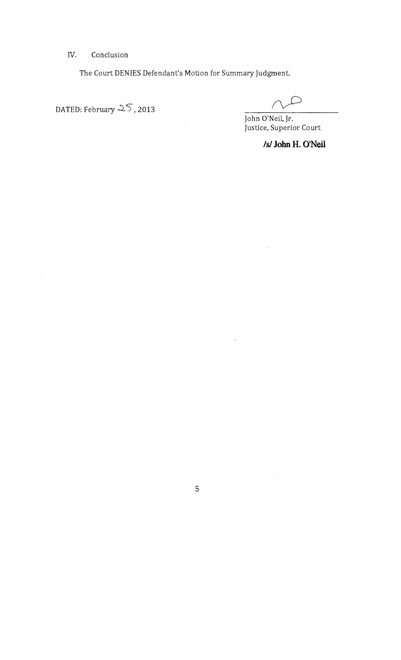IV. Conclusion

The Court DENIES Defendant's Motion for Summary Judgment.

DATED: February  $25, 2013$ 

John O'Neil, Jr. Justice, Superior Court

# *Is/* **John H. O'Neil**

 $\frac{1}{2}$ 

 $\hat{\boldsymbol{\cdot}$